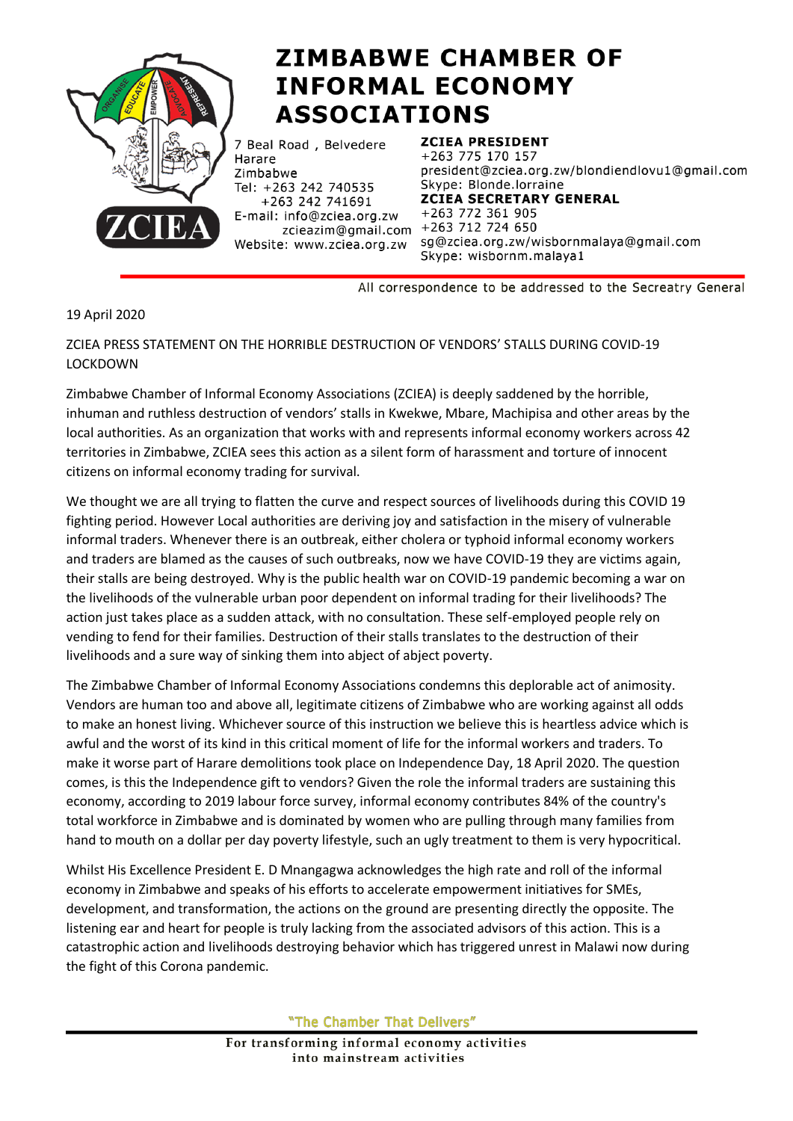

## **ZIMBABWE CHAMBER OF INFORMAL ECONOMY ASSOCIATIONS**

7 Beal Road, Belvedere Harare Zimbabwe Tel: +263 242 740535 +263 242 741691 E-mail: info@zciea.org.zw zcieazim@gmail.com +263 712 724 650 Website: www.zciea.org.zw

**ZCIEA PRESIDENT** +263 775 170 157 president@zciea.org.zw/blondiendlovu1@gmail.com Skype: Blonde.lorraine **ZCIEA SECRETARY GENERAL** +263 772 361 905 sg@zciea.org.zw/wisbornmalaya@gmail.com Skype: wisbornm.malaya1

All correspondence to be addressed to the Secreatry General

## 19 April 2020

## ZCIEA PRESS STATEMENT ON THE HORRIBLE DESTRUCTION OF VENDORS' STALLS DURING COVID-19 LOCKDOWN

Zimbabwe Chamber of Informal Economy Associations (ZCIEA) is deeply saddened by the horrible, inhuman and ruthless destruction of vendors' stalls in Kwekwe, Mbare, Machipisa and other areas by the local authorities. As an organization that works with and represents informal economy workers across 42 territories in Zimbabwe, ZCIEA sees this action as a silent form of harassment and torture of innocent citizens on informal economy trading for survival.

We thought we are all trying to flatten the curve and respect sources of livelihoods during this COVID 19 fighting period. However Local authorities are deriving joy and satisfaction in the misery of vulnerable informal traders. Whenever there is an outbreak, either cholera or typhoid informal economy workers and traders are blamed as the causes of such outbreaks, now we have COVID-19 they are victims again, their stalls are being destroyed. Why is the public health war on COVID-19 pandemic becoming a war on the livelihoods of the vulnerable urban poor dependent on informal trading for their livelihoods? The action just takes place as a sudden attack, with no consultation. These self-employed people rely on vending to fend for their families. Destruction of their stalls translates to the destruction of their livelihoods and a sure way of sinking them into abject of abject poverty.

The Zimbabwe Chamber of Informal Economy Associations condemns this deplorable act of animosity. Vendors are human too and above all, legitimate citizens of Zimbabwe who are working against all odds to make an honest living. Whichever source of this instruction we believe this is heartless advice which is awful and the worst of its kind in this critical moment of life for the informal workers and traders. To make it worse part of Harare demolitions took place on Independence Day, 18 April 2020. The question comes, is this the Independence gift to vendors? Given the role the informal traders are sustaining this economy, according to 2019 labour force survey, informal economy contributes 84% of the country's total workforce in Zimbabwe and is dominated by women who are pulling through many families from hand to mouth on a dollar per day poverty lifestyle, such an ugly treatment to them is very hypocritical.

Whilst His Excellence President E. D Mnangagwa acknowledges the high rate and roll of the informal economy in Zimbabwe and speaks of his efforts to accelerate empowerment initiatives for SMEs, development, and transformation, the actions on the ground are presenting directly the opposite. The listening ear and heart for people is truly lacking from the associated advisors of this action. This is a catastrophic action and livelihoods destroying behavior which has triggered unrest in Malawi now during the fight of this Corona pandemic.